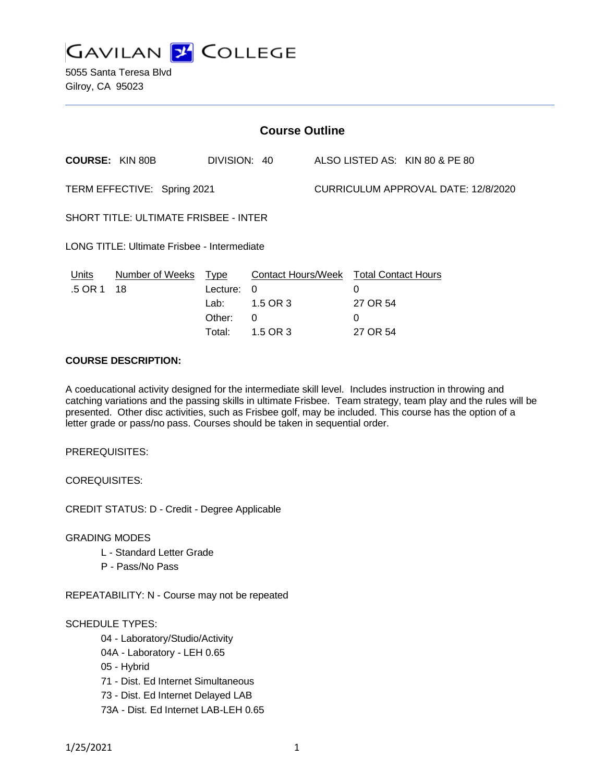

5055 Santa Teresa Blvd Gilroy, CA 95023

| DIVISION: 40                                                                    | ALSO LISTED AS: KIN 80 & PE 80                                           |
|---------------------------------------------------------------------------------|--------------------------------------------------------------------------|
| TERM EFFECTIVE: Spring 2021                                                     | CURRICULUM APPROVAL DATE: 12/8/2020                                      |
| <b>SHORT TITLE: ULTIMATE FRISBEE - INTER</b>                                    |                                                                          |
| LONG TITLE: Ultimate Frisbee - Intermediate                                     |                                                                          |
| Number of Weeks Type<br>Lecture:<br>$\Omega$<br>1.5 OR 3<br>Lab:<br>Other:<br>0 | Contact Hours/Week Total Contact Hours<br>0<br>27 OR 54<br>0<br>27 OR 54 |
|                                                                                 | 1.5 OR 3<br>Total:                                                       |

#### **COURSE DESCRIPTION:**

A coeducational activity designed for the intermediate skill level. Includes instruction in throwing and catching variations and the passing skills in ultimate Frisbee. Team strategy, team play and the rules will be presented. Other disc activities, such as Frisbee golf, may be included. This course has the option of a letter grade or pass/no pass. Courses should be taken in sequential order.

PREREQUISITES:

COREQUISITES:

CREDIT STATUS: D - Credit - Degree Applicable

GRADING MODES

- L Standard Letter Grade
- P Pass/No Pass

REPEATABILITY: N - Course may not be repeated

#### SCHEDULE TYPES:

- 04 Laboratory/Studio/Activity
- 04A Laboratory LEH 0.65
- 05 Hybrid
- 71 Dist. Ed Internet Simultaneous
- 73 Dist. Ed Internet Delayed LAB
- 73A Dist. Ed Internet LAB-LEH 0.65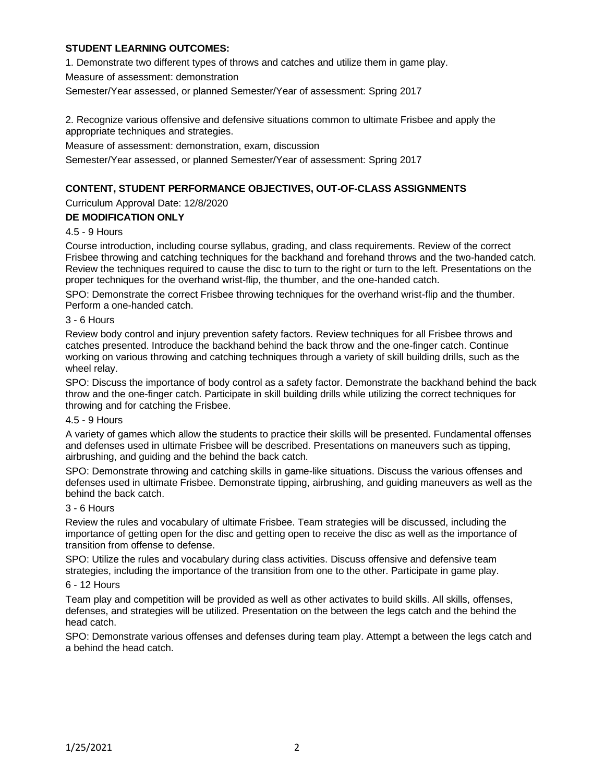# **STUDENT LEARNING OUTCOMES:**

1. Demonstrate two different types of throws and catches and utilize them in game play.

Measure of assessment: demonstration

Semester/Year assessed, or planned Semester/Year of assessment: Spring 2017

2. Recognize various offensive and defensive situations common to ultimate Frisbee and apply the appropriate techniques and strategies.

Measure of assessment: demonstration, exam, discussion

Semester/Year assessed, or planned Semester/Year of assessment: Spring 2017

### **CONTENT, STUDENT PERFORMANCE OBJECTIVES, OUT-OF-CLASS ASSIGNMENTS**

Curriculum Approval Date: 12/8/2020

### **DE MODIFICATION ONLY**

#### 4.5 - 9 Hours

Course introduction, including course syllabus, grading, and class requirements. Review of the correct Frisbee throwing and catching techniques for the backhand and forehand throws and the two-handed catch. Review the techniques required to cause the disc to turn to the right or turn to the left. Presentations on the proper techniques for the overhand wrist-flip, the thumber, and the one-handed catch.

SPO: Demonstrate the correct Frisbee throwing techniques for the overhand wrist-flip and the thumber. Perform a one-handed catch.

#### 3 - 6 Hours

Review body control and injury prevention safety factors. Review techniques for all Frisbee throws and catches presented. Introduce the backhand behind the back throw and the one-finger catch. Continue working on various throwing and catching techniques through a variety of skill building drills, such as the wheel relay.

SPO: Discuss the importance of body control as a safety factor. Demonstrate the backhand behind the back throw and the one-finger catch. Participate in skill building drills while utilizing the correct techniques for throwing and for catching the Frisbee.

#### 4.5 - 9 Hours

A variety of games which allow the students to practice their skills will be presented. Fundamental offenses and defenses used in ultimate Frisbee will be described. Presentations on maneuvers such as tipping, airbrushing, and guiding and the behind the back catch.

SPO: Demonstrate throwing and catching skills in game-like situations. Discuss the various offenses and defenses used in ultimate Frisbee. Demonstrate tipping, airbrushing, and guiding maneuvers as well as the behind the back catch.

### 3 - 6 Hours

Review the rules and vocabulary of ultimate Frisbee. Team strategies will be discussed, including the importance of getting open for the disc and getting open to receive the disc as well as the importance of transition from offense to defense.

SPO: Utilize the rules and vocabulary during class activities. Discuss offensive and defensive team strategies, including the importance of the transition from one to the other. Participate in game play.

#### 6 - 12 Hours

Team play and competition will be provided as well as other activates to build skills. All skills, offenses, defenses, and strategies will be utilized. Presentation on the between the legs catch and the behind the head catch.

SPO: Demonstrate various offenses and defenses during team play. Attempt a between the legs catch and a behind the head catch.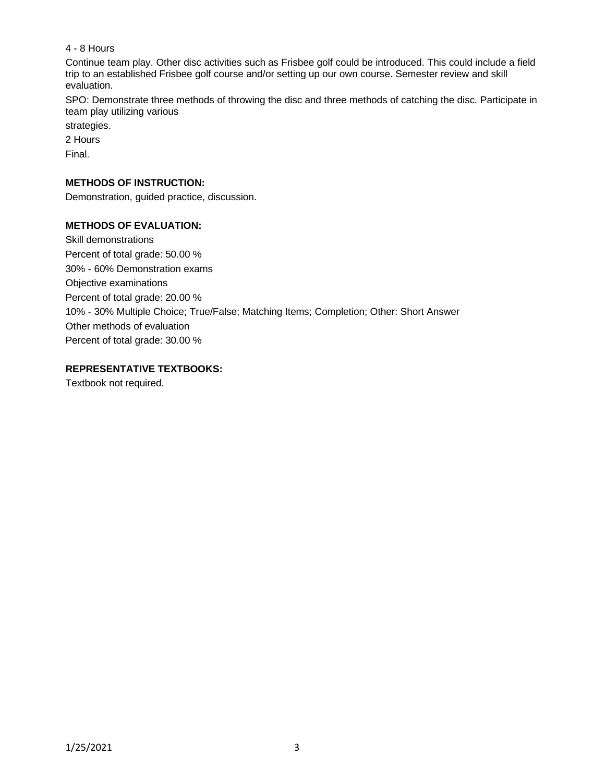## 4 - 8 Hours

Continue team play. Other disc activities such as Frisbee golf could be introduced. This could include a field trip to an established Frisbee golf course and/or setting up our own course. Semester review and skill evaluation.

SPO: Demonstrate three methods of throwing the disc and three methods of catching the disc. Participate in team play utilizing various

strategies.

2 Hours

Final.

## **METHODS OF INSTRUCTION:**

Demonstration, guided practice, discussion.

# **METHODS OF EVALUATION:**

Skill demonstrations Percent of total grade: 50.00 % 30% - 60% Demonstration exams Objective examinations Percent of total grade: 20.00 % 10% - 30% Multiple Choice; True/False; Matching Items; Completion; Other: Short Answer Other methods of evaluation Percent of total grade: 30.00 %

# **REPRESENTATIVE TEXTBOOKS:**

Textbook not required.